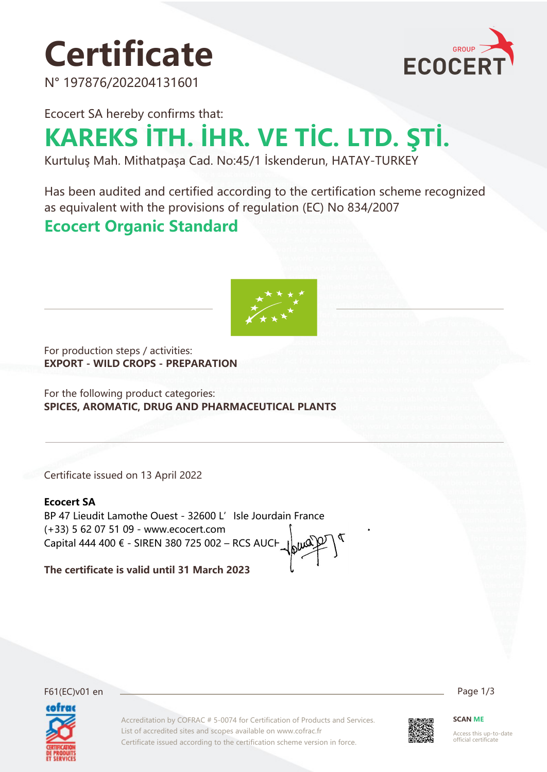# **Certificate**

N° 197876/202204131601



Ecocert SA hereby confirms that:

# **KAREKS İTH. İHR. VE TİC. LTD. ŞTİ.**

Kurtuluş Mah. Mithatpaşa Cad. No:45/1 İskenderun, HATAY-TURKEY

Has been audited and certified according to the certification scheme recognized as equivalent with the provisions of regulation (EC) No 834/2007

#### **Ecocert Organic Standard**



For production steps / activities: **EXPORT - WILD CROPS - PREPARATION**

For the following product categories: **SPICES, AROMATIC, DRUG AND PHARMACEUTICAL PLANTS**

Certificate issued on 13 April 2022

#### **Ecocert SA**

BP 47 Lieudit Lamothe Ouest - 32600 L' Isle Jourdain France (+33) 5 62 07 51 09 - www.ecocert.com Capital 444 400 € - SIREN 380 725 002 – RCS AUCH

**The certificate is valid until 31 March 2023**



F61(EC)v01 en Page 1/3

Accreditation by COFRAC # 5-0074 for Certification of Products and Services. List of accredited sites and scopes available on www.cofrac.fr Certificate issued according to the certification scheme version in force.



**SCAN ME**

Access this up-to-date official certificate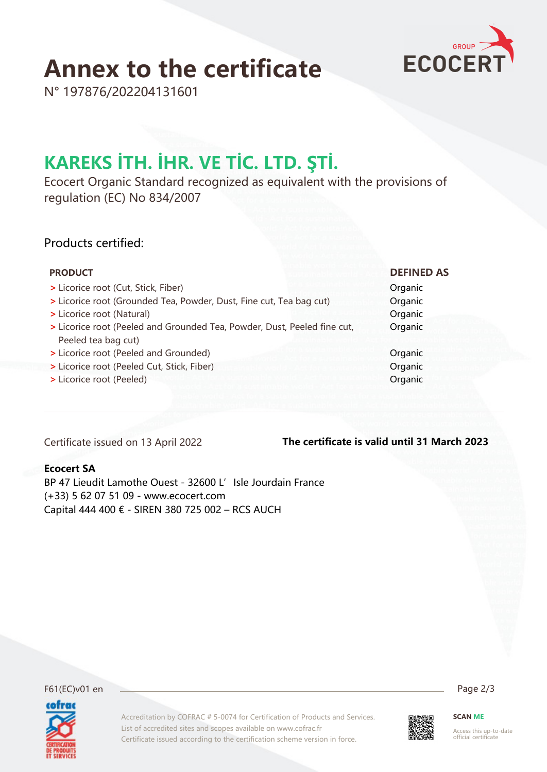## **Annex to the certificate**



N° 197876/202204131601

### **KAREKS İTH. İHR. VE TİC. LTD. ŞTİ.**

Ecocert Organic Standard recognized as equivalent with the provisions of regulation (EC) No 834/2007

#### Products certified:

| <b>PRODUCT</b>                                                           | <b>DEFINED AS</b> |
|--------------------------------------------------------------------------|-------------------|
| > Licorice root (Cut, Stick, Fiber)                                      | Organic           |
| > Licorice root (Grounded Tea, Powder, Dust, Fine cut, Tea bag cut)      | Organic           |
| > Licorice root (Natural)                                                | Organic           |
| > Licorice root (Peeled and Grounded Tea, Powder, Dust, Peeled fine cut, | Organic           |
| Peeled tea bag cut)                                                      |                   |
| > Licorice root (Peeled and Grounded)                                    | Organic           |
| > Licorice root (Peeled Cut, Stick, Fiber)                               | Organic           |
| > Licorice root (Peeled)                                                 | Organic           |

Certificate issued on 13 April 2022

#### **The certificate is valid until 31 March 2023**

#### **Ecocert SA**

BP 47 Lieudit Lamothe Ouest - 32600 L' Isle Jourdain France (+33) 5 62 07 51 09 - www.ecocert.com Capital 444 400 € - SIREN 380 725 002 – RCS AUCH

F61(EC)v01 en Page 2/3 cofrac

Accreditation by COFRAC # 5-0074 for Certification of Products and Services. List of accredited sites and scopes available on www.cofrac.fr Certificate issued according to the certification scheme version in force.



**SCAN ME**

Access this up-to-date official certificate